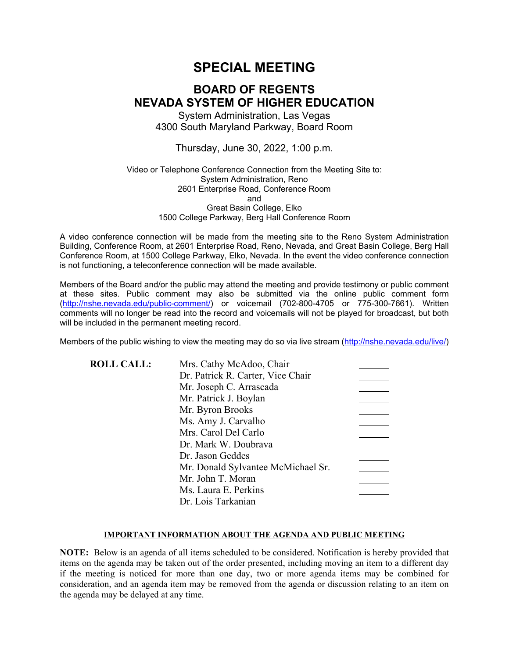# **SPECIAL MEETING**

# **BOARD OF REGENTS NEVADA SYSTEM OF HIGHER EDUCATION**

System Administration, Las Vegas 4300 South Maryland Parkway, Board Room

Thursday, June 30, 2022, 1:00 p.m.

#### Video or Telephone Conference Connection from the Meeting Site to: System Administration, Reno 2601 Enterprise Road, Conference Room and Great Basin College, Elko 1500 College Parkway, Berg Hall Conference Room

A video conference connection will be made from the meeting site to the Reno System Administration Building, Conference Room, at 2601 Enterprise Road, Reno, Nevada, and Great Basin College, Berg Hall Conference Room, at 1500 College Parkway, Elko, Nevada. In the event the video conference connection is not functioning, a teleconference connection will be made available.

Members of the Board and/or the public may attend the meeting and provide testimony or public comment at these sites. Public comment may also be submitted via the online public comment form [\(http://nshe.nevada.edu/public-comment/\)](http://nshe.nevada.edu/public-comment/) or voicemail (702-800-4705 or 775-300-7661). Written comments will no longer be read into the record and voicemails will not be played for broadcast, but both will be included in the permanent meeting record.

Members of the public wishing to view the meeting may do so via live stream [\(http://nshe.nevada.edu/live/\)](http://nshe.nevada.edu/live/)

| <b>ROLL CALL:</b> | Mrs. Cathy McAdoo, Chair           |  |
|-------------------|------------------------------------|--|
|                   | Dr. Patrick R. Carter, Vice Chair  |  |
|                   | Mr. Joseph C. Arrascada            |  |
|                   | Mr. Patrick J. Boylan              |  |
|                   | Mr. Byron Brooks                   |  |
|                   | Ms. Amy J. Carvalho                |  |
|                   | Mrs. Carol Del Carlo               |  |
|                   | Dr. Mark W. Doubrava               |  |
|                   | Dr. Jason Geddes                   |  |
|                   | Mr. Donald Sylvantee McMichael Sr. |  |
|                   | Mr. John T. Moran                  |  |
|                   | Ms. Laura E. Perkins               |  |
|                   | Dr. Lois Tarkanian                 |  |

#### **IMPORTANT INFORMATION ABOUT THE AGENDA AND PUBLIC MEETING**

**NOTE:** Below is an agenda of all items scheduled to be considered. Notification is hereby provided that items on the agenda may be taken out of the order presented, including moving an item to a different day if the meeting is noticed for more than one day, two or more agenda items may be combined for consideration, and an agenda item may be removed from the agenda or discussion relating to an item on the agenda may be delayed at any time.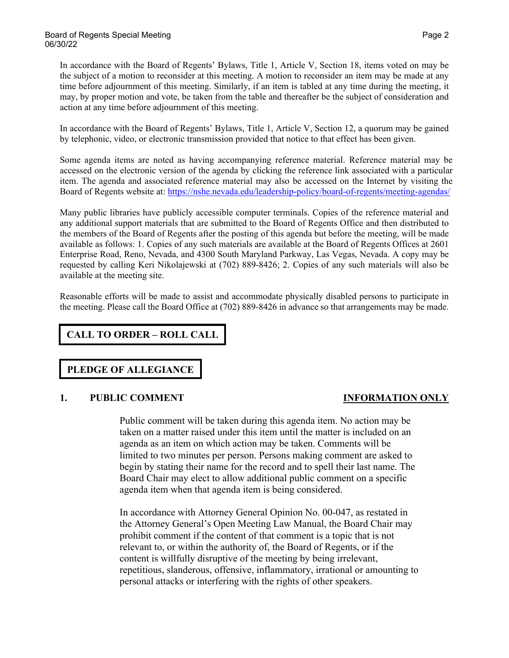In accordance with the Board of Regents' Bylaws, Title 1, Article V, Section 18, items voted on may be the subject of a motion to reconsider at this meeting. A motion to reconsider an item may be made at any time before adjournment of this meeting. Similarly, if an item is tabled at any time during the meeting, it may, by proper motion and vote, be taken from the table and thereafter be the subject of consideration and action at any time before adjournment of this meeting.

In accordance with the Board of Regents' Bylaws, Title 1, Article V, Section 12, a quorum may be gained by telephonic, video, or electronic transmission provided that notice to that effect has been given.

Some agenda items are noted as having accompanying reference material. Reference material may be accessed on the electronic version of the agenda by clicking the reference link associated with a particular item. The agenda and associated reference material may also be accessed on the Internet by visiting the Board of Regents website at: <https://nshe.nevada.edu/leadership-policy/board-of-regents/meeting-agendas/>

Many public libraries have publicly accessible computer terminals. Copies of the reference material and any additional support materials that are submitted to the Board of Regents Office and then distributed to the members of the Board of Regents after the posting of this agenda but before the meeting, will be made available as follows: 1. Copies of any such materials are available at the Board of Regents Offices at 2601 Enterprise Road, Reno, Nevada, and 4300 South Maryland Parkway, Las Vegas, Nevada. A copy may be requested by calling Keri Nikolajewski at (702) 889-8426; 2. Copies of any such materials will also be available at the meeting site.

Reasonable efforts will be made to assist and accommodate physically disabled persons to participate in the meeting. Please call the Board Office at (702) 889-8426 in advance so that arrangements may be made.

**CALL TO ORDER – ROLL CALL**

## **PLEDGE OF ALLEGIANCE**

### **1. PUBLIC COMMENT INFORMATION ONLY**

Public comment will be taken during this agenda item. No action may be taken on a matter raised under this item until the matter is included on an agenda as an item on which action may be taken. Comments will be limited to two minutes per person. Persons making comment are asked to begin by stating their name for the record and to spell their last name. The Board Chair may elect to allow additional public comment on a specific agenda item when that agenda item is being considered.

In accordance with Attorney General Opinion No. 00-047, as restated in the Attorney General's Open Meeting Law Manual, the Board Chair may prohibit comment if the content of that comment is a topic that is not relevant to, or within the authority of, the Board of Regents, or if the content is willfully disruptive of the meeting by being irrelevant, repetitious, slanderous, offensive, inflammatory, irrational or amounting to personal attacks or interfering with the rights of other speakers.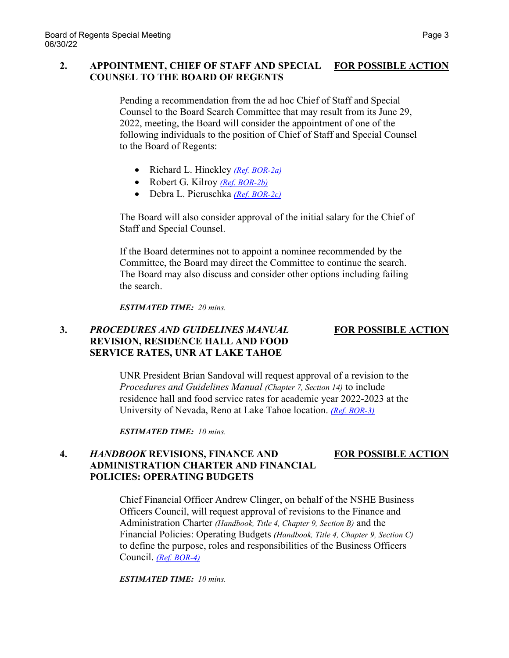### **2. APPOINTMENT, CHIEF OF STAFF AND SPECIAL FOR POSSIBLE ACTION COUNSEL TO THE BOARD OF REGENTS**

Pending a recommendation from the ad hoc Chief of Staff and Special Counsel to the Board Search Committee that may result from its June 29, 2022, meeting, the Board will consider the appointment of one of the following individuals to the position of Chief of Staff and Special Counsel to the Board of Regents:

- Richard L. Hinckley *[\(Ref. BOR-2a\)](https://nshe.nevada.edu/wp-content/uploads/file/BoardOfRegents/Agendas/2022/06-jun-mtgs/bor30-refs/BOR-2a.pdf)*
- Robert G. Kilroy *[\(Ref. BOR-2b\)](https://nshe.nevada.edu/wp-content/uploads/file/BoardOfRegents/Agendas/2022/06-jun-mtgs/bor30-refs/BOR-2b.pdf)*
- Debra L. Pieruschka *[\(Ref. BOR-2c\)](https://nshe.nevada.edu/wp-content/uploads/file/BoardOfRegents/Agendas/2022/06-jun-mtgs/bor30-refs/BOR-2c.pdf)*

The Board will also consider approval of the initial salary for the Chief of Staff and Special Counsel.

If the Board determines not to appoint a nominee recommended by the Committee, the Board may direct the Committee to continue the search. The Board may also discuss and consider other options including failing the search.

*ESTIMATED TIME: 20 mins.*

### **3.** *PROCEDURES AND GUIDELINES MANUAL* **FOR POSSIBLE ACTION REVISION, RESIDENCE HALL AND FOOD SERVICE RATES, UNR AT LAKE TAHOE**

UNR President Brian Sandoval will request approval of a revision to the *Procedures and Guidelines Manual (Chapter 7, Section 14)* to include residence hall and food service rates for academic year 2022-2023 at the University of Nevada, Reno at Lake Tahoe location. *[\(Ref. BOR-3\)](https://nshe.nevada.edu/wp-content/uploads/file/BoardOfRegents/Agendas/2022/06-jun-mtgs/bor30-refs/BOR-3.pdf)*

*ESTIMATED TIME: 10 mins.*

### **4.** *HANDBOOK* **REVISIONS, FINANCE AND FOR POSSIBLE ACTION ADMINISTRATION CHARTER AND FINANCIAL POLICIES: OPERATING BUDGETS**

Chief Financial Officer Andrew Clinger, on behalf of the NSHE Business Officers Council, will request approval of revisions to the Finance and Administration Charter *(Handbook, Title 4, Chapter 9, Section B)* and the Financial Policies: Operating Budgets *(Handbook, Title 4, Chapter 9, Section C)* to define the purpose, roles and responsibilities of the Business Officers Council. *[\(Ref. BOR-4\)](https://nshe.nevada.edu/wp-content/uploads/file/BoardOfRegents/Agendas/2022/06-jun-mtgs/bor30-refs/BOR-4.pdf)*

*ESTIMATED TIME: 10 mins.*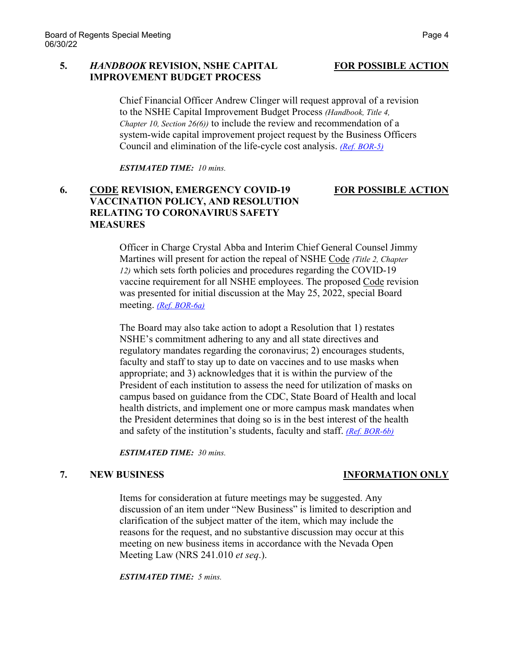### **5.** *HANDBOOK* **REVISION, NSHE CAPITAL FOR POSSIBLE ACTION IMPROVEMENT BUDGET PROCESS**

Chief Financial Officer Andrew Clinger will request approval of a revision to the NSHE Capital Improvement Budget Process *(Handbook, Title 4, Chapter 10, Section 26(6))* to include the review and recommendation of a system-wide capital improvement project request by the Business Officers Council and elimination of the life-cycle cost analysis. *[\(Ref. BOR-5\)](https://nshe.nevada.edu/wp-content/uploads/file/BoardOfRegents/Agendas/2022/06-jun-mtgs/bor30-refs/BOR-5.pdf)*

*ESTIMATED TIME: 10 mins.*

## **6. CODE REVISION, EMERGENCY COVID-19 FOR POSSIBLE ACTION VACCINATION POLICY, AND RESOLUTION RELATING TO CORONAVIRUS SAFETY MEASURES**

Officer in Charge Crystal Abba and Interim Chief General Counsel Jimmy Martines will present for action the repeal of NSHE Code *(Title 2, Chapter 12)* which sets forth policies and procedures regarding the COVID-19 vaccine requirement for all NSHE employees. The proposed Code revision was presented for initial discussion at the May 25, 2022, special Board meeting. *[\(Ref. BOR-6a\)](https://nshe.nevada.edu/wp-content/uploads/file/BoardOfRegents/Agendas/2022/06-jun-mtgs/bor30-refs/BOR-6a.pdf)*

The Board may also take action to adopt a Resolution that 1) restates NSHE's commitment adhering to any and all state directives and regulatory mandates regarding the coronavirus; 2) encourages students, faculty and staff to stay up to date on vaccines and to use masks when appropriate; and 3) acknowledges that it is within the purview of the President of each institution to assess the need for utilization of masks on campus based on guidance from the CDC, State Board of Health and local health districts, and implement one or more campus mask mandates when the President determines that doing so is in the best interest of the health and safety of the institution's students, faculty and staff. *[\(Ref. BOR-6b\)](https://nshe.nevada.edu/wp-content/uploads/file/BoardOfRegents/Agendas/2022/06-jun-mtgs/bor30-refs/BOR-6b.pdf)*

*ESTIMATED TIME: 30 mins.*

### **7. NEW BUSINESS INFORMATION ONLY**

Items for consideration at future meetings may be suggested. Any discussion of an item under "New Business" is limited to description and clarification of the subject matter of the item, which may include the reasons for the request, and no substantive discussion may occur at this meeting on new business items in accordance with the Nevada Open Meeting Law (NRS 241.010 *et seq*.).

*ESTIMATED TIME: 5 mins.*